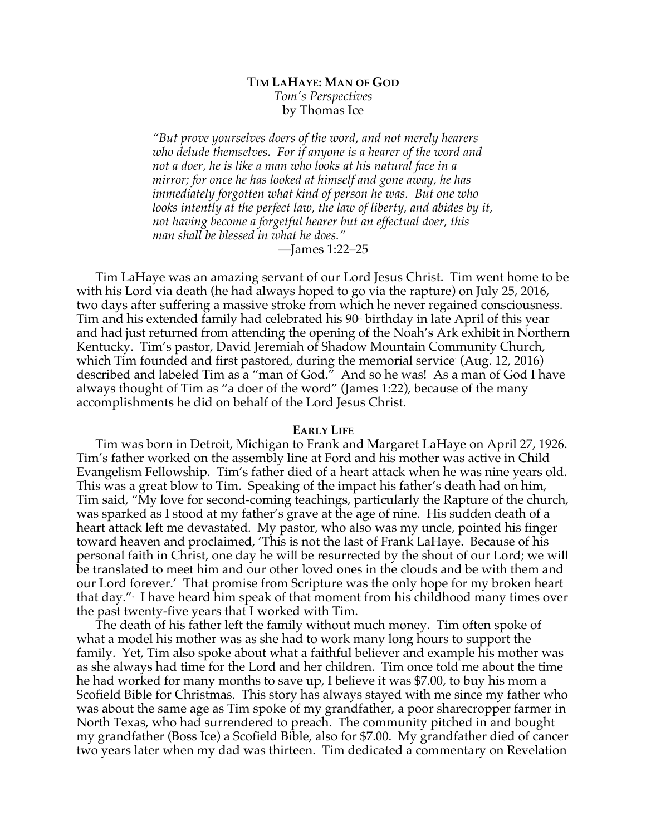# **TIM LAHAYE: MAN OF GOD** *Tom's Perspectives* by Thomas Ice

*"But prove yourselves doers of the word, and not merely hearers who delude themselves. For if anyone is a hearer of the word and not a doer, he is like a man who looks at his natural face in a mirror; for once he has looked at himself and gone away, he has immediately forgotten what kind of person he was. But one who looks intently at the perfect law, the law of liberty, and abides by it, not having become a forgetful hearer but an effectual doer, this man shall be blessed in what he does."*

—James 1:22–25

Tim LaHaye was an amazing servant of our Lord Jesus Christ. Tim went home to be with his Lord via death (he had always hoped to go via the rapture) on July 25, 2016, two days after suffering a massive stroke from which he never regained consciousness. Tim and his extended family had celebrated his  $90<sup>th</sup>$  birthday in late April of this year and had just returned from attending the opening of the Noah's Ark exhibit in Northern Kentucky. Tim's pastor, David Jeremiah of Shadow Mountain Community Church, which Tim founded and first pastored, during the memorial service  $(Aug. 12, 2016)$ described and labeled Tim as a "man of God." And so he was! As a man of God I have always thought of Tim as "a doer of the word" (James 1:22), because of the many accomplishments he did on behalf of the Lord Jesus Christ.

### **EARLY LIFE**

Tim was born in Detroit, Michigan to Frank and Margaret LaHaye on April 27, 1926. Tim's father worked on the assembly line at Ford and his mother was active in Child Evangelism Fellowship. Tim's father died of a heart attack when he was nine years old. This was a great blow to Tim. Speaking of the impact his father's death had on him, Tim said, "My love for second-coming teachings, particularly the Rapture of the church, was sparked as I stood at my father's grave at the age of nine. His sudden death of a heart attack left me devastated. My pastor, who also was my uncle, pointed his finger toward heaven and proclaimed, 'This is not the last of Frank LaHaye. Because of his personal faith in Christ, one day he will be resurrected by the shout of our Lord; we will be translated to meet him and our other loved ones in the clouds and be with them and our Lord forever.' That promise from Scripture was the only hope for my broken heart that day."2 I have heard him speak of that moment from his childhood many times over the past twenty-five years that I worked with Tim.

The death of his father left the family without much money. Tim often spoke of what a model his mother was as she had to work many long hours to support the family. Yet, Tim also spoke about what a faithful believer and example his mother was as she always had time for the Lord and her children. Tim once told me about the time he had worked for many months to save up, I believe it was \$7.00, to buy his mom a Scofield Bible for Christmas. This story has always stayed with me since my father who was about the same age as Tim spoke of my grandfather, a poor sharecropper farmer in North Texas, who had surrendered to preach. The community pitched in and bought my grandfather (Boss Ice) a Scofield Bible, also for \$7.00. My grandfather died of cancer two years later when my dad was thirteen. Tim dedicated a commentary on Revelation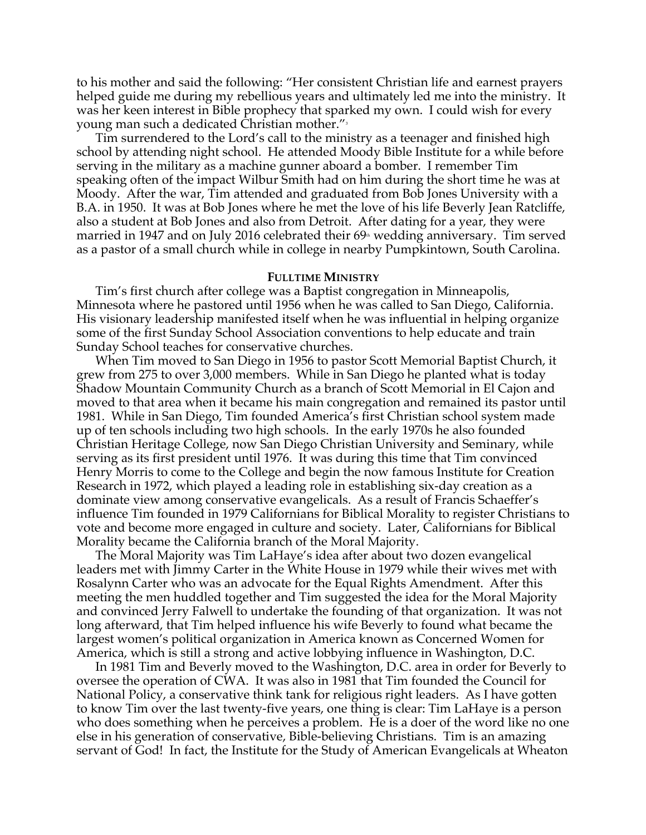to his mother and said the following: "Her consistent Christian life and earnest prayers helped guide me during my rebellious years and ultimately led me into the ministry. It was her keen interest in Bible prophecy that sparked my own. I could wish for every young man such a dedicated Christian mother."3

Tim surrendered to the Lord's call to the ministry as a teenager and finished high school by attending night school. He attended Moody Bible Institute for a while before serving in the military as a machine gunner aboard a bomber. I remember Tim speaking often of the impact Wilbur Smith had on him during the short time he was at Moody. After the war, Tim attended and graduated from Bob Jones University with a B.A. in 1950. It was at Bob Jones where he met the love of his life Beverly Jean Ratcliffe, also a student at Bob Jones and also from Detroit. After dating for a year, they were married in 1947 and on July 2016 celebrated their  $69<sup>th</sup>$  wedding anniversary. Tim served as a pastor of a small church while in college in nearby Pumpkintown, South Carolina.

### **FULLTIME MINISTRY**

Tim's first church after college was a Baptist congregation in Minneapolis, Minnesota where he pastored until 1956 when he was called to San Diego, California. His visionary leadership manifested itself when he was influential in helping organize some of the first Sunday School Association conventions to help educate and train Sunday School teaches for conservative churches.

When Tim moved to San Diego in 1956 to pastor Scott Memorial Baptist Church, it grew from 275 to over 3,000 members. While in San Diego he planted what is today Shadow Mountain Community Church as a branch of Scott Memorial in El Cajon and moved to that area when it became his main congregation and remained its pastor until 1981. While in San Diego, Tim founded America's first Christian school system made up of ten schools including two high schools. In the early 1970s he also founded Christian Heritage College, now San Diego Christian University and Seminary, while serving as its first president until 1976. It was during this time that Tim convinced Henry Morris to come to the College and begin the now famous Institute for Creation Research in 1972, which played a leading role in establishing six-day creation as a dominate view among conservative evangelicals. As a result of Francis Schaeffer's influence Tim founded in 1979 Californians for Biblical Morality to register Christians to vote and become more engaged in culture and society. Later, Californians for Biblical Morality became the California branch of the Moral Majority.

The Moral Majority was Tim LaHaye's idea after about two dozen evangelical leaders met with Jimmy Carter in the White House in 1979 while their wives met with Rosalynn Carter who was an advocate for the Equal Rights Amendment. After this meeting the men huddled together and Tim suggested the idea for the Moral Majority and convinced Jerry Falwell to undertake the founding of that organization. It was not long afterward, that Tim helped influence his wife Beverly to found what became the largest women's political organization in America known as Concerned Women for America, which is still a strong and active lobbying influence in Washington, D.C.

In 1981 Tim and Beverly moved to the Washington, D.C. area in order for Beverly to oversee the operation of CWA. It was also in 1981 that Tim founded the Council for National Policy, a conservative think tank for religious right leaders. As I have gotten to know Tim over the last twenty-five years, one thing is clear: Tim LaHaye is a person who does something when he perceives a problem. He is a doer of the word like no one else in his generation of conservative, Bible-believing Christians. Tim is an amazing servant of God! In fact, the Institute for the Study of American Evangelicals at Wheaton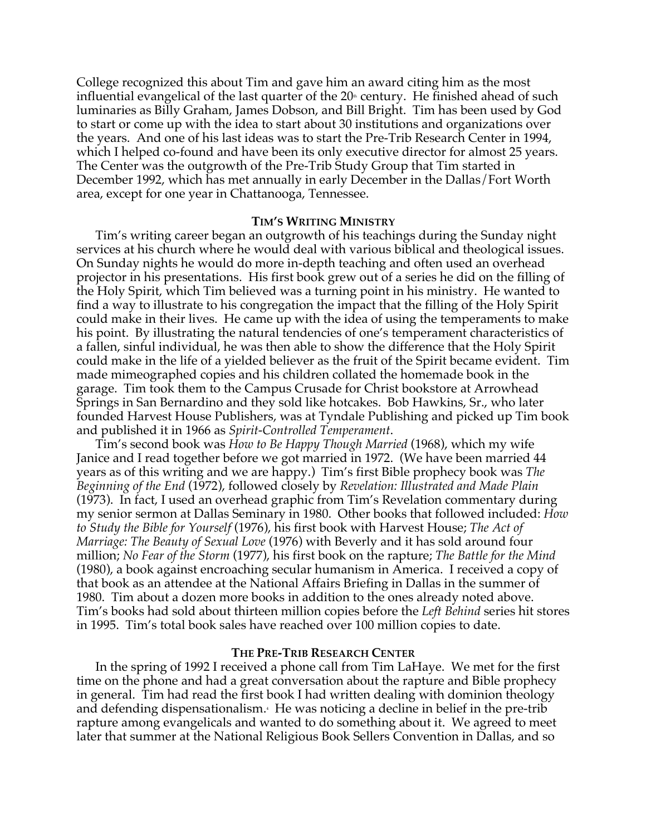College recognized this about Tim and gave him an award citing him as the most influential evangelical of the last quarter of the  $20<sup>*</sup>$  century. He finished ahead of such luminaries as Billy Graham, James Dobson, and Bill Bright. Tim has been used by God to start or come up with the idea to start about 30 institutions and organizations over the years. And one of his last ideas was to start the Pre-Trib Research Center in 1994, which I helped co-found and have been its only executive director for almost 25 years. The Center was the outgrowth of the Pre-Trib Study Group that Tim started in December 1992, which has met annually in early December in the Dallas/Fort Worth area, except for one year in Chattanooga, Tennessee.

### **TIM'S WRITING MINISTRY**

Tim's writing career began an outgrowth of his teachings during the Sunday night services at his church where he would deal with various biblical and theological issues. On Sunday nights he would do more in-depth teaching and often used an overhead projector in his presentations. His first book grew out of a series he did on the filling of the Holy Spirit, which Tim believed was a turning point in his ministry. He wanted to find a way to illustrate to his congregation the impact that the filling of the Holy Spirit could make in their lives. He came up with the idea of using the temperaments to make his point. By illustrating the natural tendencies of one's temperament characteristics of a fallen, sinful individual, he was then able to show the difference that the Holy Spirit could make in the life of a yielded believer as the fruit of the Spirit became evident. Tim made mimeographed copies and his children collated the homemade book in the garage. Tim took them to the Campus Crusade for Christ bookstore at Arrowhead Springs in San Bernardino and they sold like hotcakes. Bob Hawkins, Sr., who later founded Harvest House Publishers, was at Tyndale Publishing and picked up Tim book and published it in 1966 as *Spirit-Controlled Temperament*.

Tim's second book was *How to Be Happy Though Married* (1968), which my wife Janice and I read together before we got married in 1972. (We have been married 44 years as of this writing and we are happy.) Tim's first Bible prophecy book was *The Beginning of the End* (1972), followed closely by *Revelation: Illustrated and Made Plain* (1973). In fact, I used an overhead graphic from Tim's Revelation commentary during my senior sermon at Dallas Seminary in 1980. Other books that followed included: *How to Study the Bible for Yourself* (1976), his first book with Harvest House; *The Act of Marriage: The Beauty of Sexual Love* (1976) with Beverly and it has sold around four million; *No Fear of the Storm* (1977), his first book on the rapture; *The Battle for the Mind* (1980), a book against encroaching secular humanism in America. I received a copy of that book as an attendee at the National Affairs Briefing in Dallas in the summer of 1980. Tim about a dozen more books in addition to the ones already noted above. Tim's books had sold about thirteen million copies before the *Left Behind* series hit stores in 1995. Tim's total book sales have reached over 100 million copies to date.

## **THE PRE-TRIB RESEARCH CENTER**

In the spring of 1992 I received a phone call from Tim LaHaye. We met for the first time on the phone and had a great conversation about the rapture and Bible prophecy in general. Tim had read the first book I had written dealing with dominion theology and defending dispensationalism.<sup>4</sup> He was noticing a decline in belief in the pre-trib rapture among evangelicals and wanted to do something about it. We agreed to meet later that summer at the National Religious Book Sellers Convention in Dallas, and so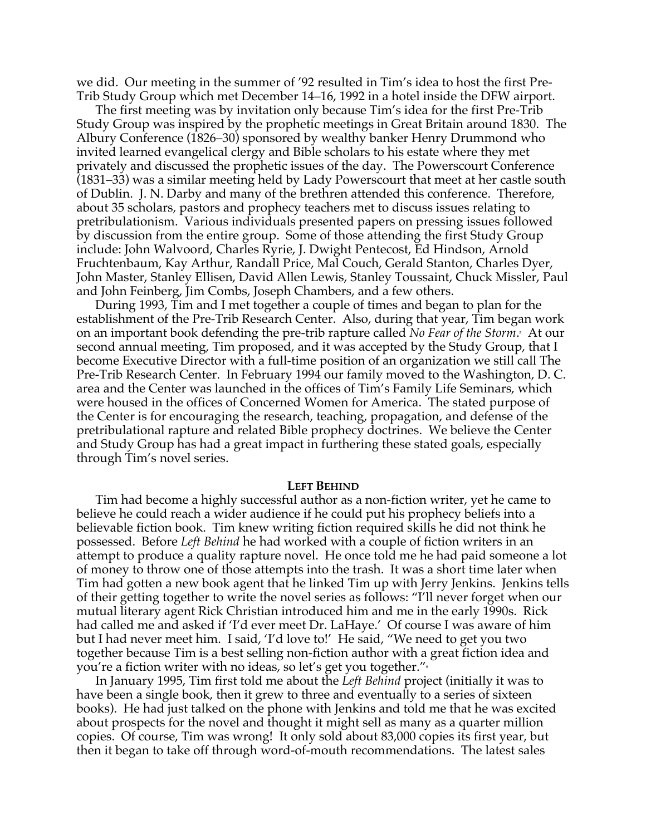we did. Our meeting in the summer of '92 resulted in Tim's idea to host the first Pre-Trib Study Group which met December 14–16, 1992 in a hotel inside the DFW airport.

The first meeting was by invitation only because Tim's idea for the first Pre-Trib Study Group was inspired by the prophetic meetings in Great Britain around 1830. The Albury Conference (1826–30) sponsored by wealthy banker Henry Drummond who invited learned evangelical clergy and Bible scholars to his estate where they met privately and discussed the prophetic issues of the day. The Powerscourt Conference (1831–33) was a similar meeting held by Lady Powerscourt that meet at her castle south of Dublin. J. N. Darby and many of the brethren attended this conference. Therefore, about 35 scholars, pastors and prophecy teachers met to discuss issues relating to pretribulationism. Various individuals presented papers on pressing issues followed by discussion from the entire group. Some of those attending the first Study Group include: John Walvoord, Charles Ryrie, J. Dwight Pentecost, Ed Hindson, Arnold Fruchtenbaum, Kay Arthur, Randall Price, Mal Couch, Gerald Stanton, Charles Dyer, John Master, Stanley Ellisen, David Allen Lewis, Stanley Toussaint, Chuck Missler, Paul and John Feinberg, Jim Combs, Joseph Chambers, and a few others.

During 1993, Tim and I met together a couple of times and began to plan for the establishment of the Pre-Trib Research Center. Also, during that year, Tim began work on an important book defending the pre-trib rapture called *No Fear of the Storm*.5 At our second annual meeting, Tim proposed, and it was accepted by the Study Group, that I become Executive Director with a full-time position of an organization we still call The Pre-Trib Research Center. In February 1994 our family moved to the Washington, D. C. area and the Center was launched in the offices of Tim's Family Life Seminars, which were housed in the offices of Concerned Women for America. The stated purpose of the Center is for encouraging the research, teaching, propagation, and defense of the pretribulational rapture and related Bible prophecy doctrines. We believe the Center and Study Group has had a great impact in furthering these stated goals, especially through Tim's novel series.

### **LEFT BEHIND**

Tim had become a highly successful author as a non-fiction writer, yet he came to believe he could reach a wider audience if he could put his prophecy beliefs into a believable fiction book. Tim knew writing fiction required skills he did not think he possessed. Before *Left Behind* he had worked with a couple of fiction writers in an attempt to produce a quality rapture novel. He once told me he had paid someone a lot of money to throw one of those attempts into the trash. It was a short time later when Tim had gotten a new book agent that he linked Tim up with Jerry Jenkins. Jenkins tells of their getting together to write the novel series as follows: "I'll never forget when our mutual literary agent Rick Christian introduced him and me in the early 1990s. Rick had called me and asked if 'I'd ever meet Dr. LaHaye.' Of course I was aware of him but I had never meet him. I said, 'I'd love to!' He said, "We need to get you two together because Tim is a best selling non-fiction author with a great fiction idea and you're a fiction writer with no ideas, so let's get you together."<sup>6</sup>

In January 1995, Tim first told me about the *Left Behind* project (initially it was to have been a single book, then it grew to three and eventually to a series of sixteen books). He had just talked on the phone with Jenkins and told me that he was excited about prospects for the novel and thought it might sell as many as a quarter million copies. Of course, Tim was wrong! It only sold about 83,000 copies its first year, but then it began to take off through word-of-mouth recommendations. The latest sales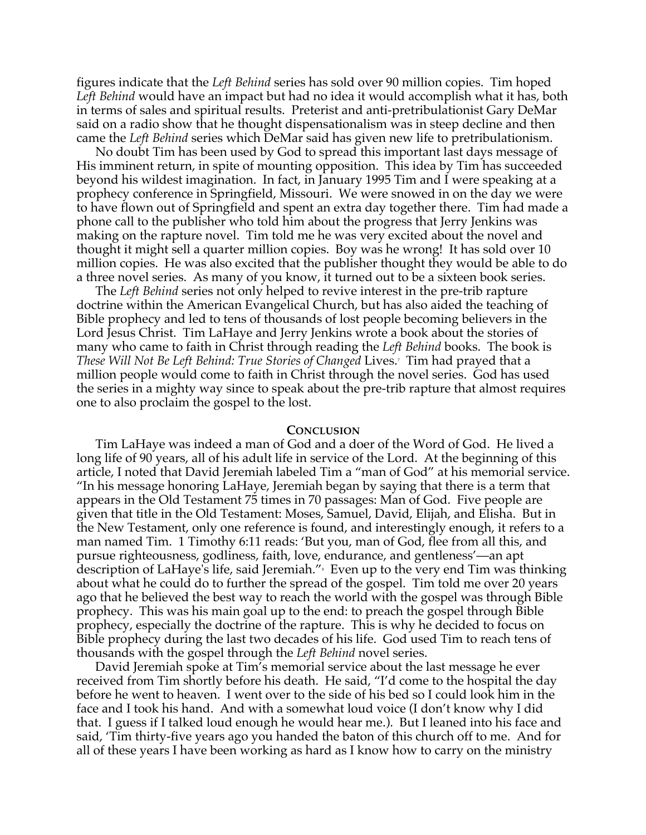figures indicate that the *Left Behind* series has sold over 90 million copies. Tim hoped *Left Behind* would have an impact but had no idea it would accomplish what it has, both in terms of sales and spiritual results. Preterist and anti-pretribulationist Gary DeMar said on a radio show that he thought dispensationalism was in steep decline and then came the *Left Behind* series which DeMar said has given new life to pretribulationism.

No doubt Tim has been used by God to spread this important last days message of His imminent return, in spite of mounting opposition. This idea by Tim has succeeded beyond his wildest imagination. In fact, in January 1995 Tim and I were speaking at a prophecy conference in Springfield, Missouri. We were snowed in on the day we were to have flown out of Springfield and spent an extra day together there. Tim had made a phone call to the publisher who told him about the progress that Jerry Jenkins was making on the rapture novel. Tim told me he was very excited about the novel and thought it might sell a quarter million copies. Boy was he wrong! It has sold over 10 million copies. He was also excited that the publisher thought they would be able to do a three novel series. As many of you know, it turned out to be a sixteen book series.

The *Left Behind* series not only helped to revive interest in the pre-trib rapture doctrine within the American Evangelical Church, but has also aided the teaching of Bible prophecy and led to tens of thousands of lost people becoming believers in the Lord Jesus Christ. Tim LaHaye and Jerry Jenkins wrote a book about the stories of many who came to faith in Christ through reading the *Left Behind* books. The book is *These Will Not Be Left Behind: True Stories of Changed* Lives.7 Tim had prayed that a million people would come to faith in Christ through the novel series. God has used the series in a mighty way since to speak about the pre-trib rapture that almost requires one to also proclaim the gospel to the lost.

### **CONCLUSION**

Tim LaHaye was indeed a man of God and a doer of the Word of God. He lived a long life of 90 years, all of his adult life in service of the Lord. At the beginning of this article, I noted that David Jeremiah labeled Tim a "man of God" at his memorial service. "In his message honoring LaHaye, Jeremiah began by saying that there is a term that appears in the Old Testament 75 times in 70 passages: Man of God. Five people are given that title in the Old Testament: Moses, Samuel, David, Elijah, and Elisha. But in the New Testament, only one reference is found, and interestingly enough, it refers to a man named Tim. 1 Timothy 6:11 reads: 'But you, man of God, flee from all this, and pursue righteousness, godliness, faith, love, endurance, and gentleness'—an apt description of LaHaye's life, said Jeremiah."<sup>。</sup> Even up to the very end Tim was thinking about what he could do to further the spread of the gospel. Tim told me over 20 years ago that he believed the best way to reach the world with the gospel was through Bible prophecy. This was his main goal up to the end: to preach the gospel through Bible prophecy, especially the doctrine of the rapture. This is why he decided to focus on Bible prophecy during the last two decades of his life. God used Tim to reach tens of thousands with the gospel through the *Left Behind* novel series.

David Jeremiah spoke at Tim's memorial service about the last message he ever received from Tim shortly before his death. He said, "I'd come to the hospital the day before he went to heaven. I went over to the side of his bed so I could look him in the face and I took his hand. And with a somewhat loud voice (I don't know why I did that. I guess if I talked loud enough he would hear me.). But I leaned into his face and said, 'Tim thirty-five years ago you handed the baton of this church off to me. And for all of these years I have been working as hard as I know how to carry on the ministry